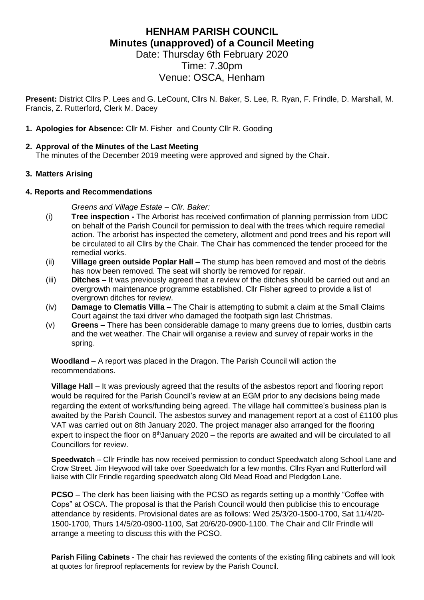# **HENHAM PARISH COUNCIL Minutes (unapproved) of a Council Meeting** Date: Thursday 6th February 2020

Time: 7.30pm Venue: OSCA, Henham

**Present:** District Cllrs P. Lees and G. LeCount, Cllrs N. Baker, S. Lee, R. Ryan, F. Frindle, D. Marshall, M. Francis, Z. Rutterford, Clerk M. Dacey

#### **1. Apologies for Absence:** Cllr M. Fisher and County Cllr R. Gooding

#### **2. Approval of the Minutes of the Last Meeting**

The minutes of the December 2019 meeting were approved and signed by the Chair.

#### **3. Matters Arising**

#### **4. Reports and Recommendations**

*Greens and Village Estate – Cllr. Baker:*

- (i) **Tree inspection -** The Arborist has received confirmation of planning permission from UDC on behalf of the Parish Council for permission to deal with the trees which require remedial action. The arborist has inspected the cemetery, allotment and pond trees and his report will be circulated to all Cllrs by the Chair. The Chair has commenced the tender proceed for the remedial works.
- (ii) **Village green outside Poplar Hall –** The stump has been removed and most of the debris has now been removed. The seat will shortly be removed for repair.
- (iii) **Ditches –** It was previously agreed that a review of the ditches should be carried out and an overgrowth maintenance programme established. Cllr Fisher agreed to provide a list of overgrown ditches for review.
- (iv) **Damage to Clematis Villa –** The Chair is attempting to submit a claim at the Small Claims Court against the taxi driver who damaged the footpath sign last Christmas.
- (v) **Greens –** There has been considerable damage to many greens due to lorries, dustbin carts and the wet weather. The Chair will organise a review and survey of repair works in the spring.

**Woodland** – A report was placed in the Dragon. The Parish Council will action the recommendations.

**Village Hall** – It was previously agreed that the results of the asbestos report and flooring report would be required for the Parish Council's review at an EGM prior to any decisions being made regarding the extent of works/funding being agreed. The village hall committee's business plan is awaited by the Parish Council. The asbestos survey and management report at a cost of £1100 plus VAT was carried out on 8th January 2020. The project manager also arranged for the flooring expert to inspect the floor on  $8<sup>th</sup>$ January 2020 – the reports are awaited and will be circulated to all Councillors for review.

**Speedwatch** – Cllr Frindle has now received permission to conduct Speedwatch along School Lane and Crow Street. Jim Heywood will take over Speedwatch for a few months. Cllrs Ryan and Rutterford will liaise with Cllr Frindle regarding speedwatch along Old Mead Road and Pledgdon Lane.

**PCSO** – The clerk has been liaising with the PCSO as regards setting up a monthly "Coffee with Cops" at OSCA. The proposal is that the Parish Council would then publicise this to encourage attendance by residents. Provisional dates are as follows: Wed 25/3/20-1500-1700, Sat 11/4/20- 1500-1700, Thurs 14/5/20-0900-1100, Sat 20/6/20-0900-1100. The Chair and Cllr Frindle will arrange a meeting to discuss this with the PCSO.

**Parish Filing Cabinets** - The chair has reviewed the contents of the existing filing cabinets and will look at quotes for fireproof replacements for review by the Parish Council.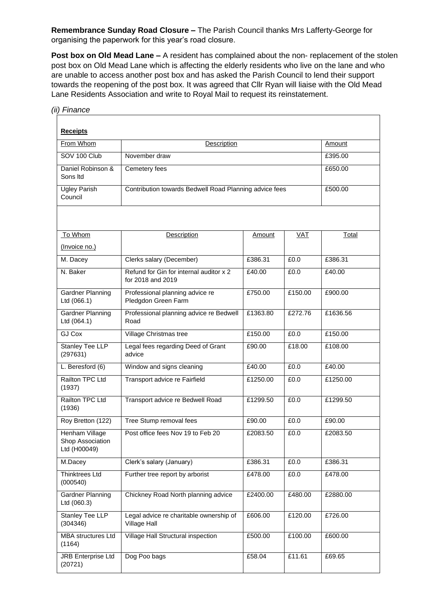**Remembrance Sunday Road Closure –** The Parish Council thanks Mrs Lafferty-George for organising the paperwork for this year's road closure.

*(ii) Finance*

**Post box on Old Mead Lane –** A resident has complained about the non- replacement of the stolen post box on Old Mead Lane which is affecting the elderly residents who live on the lane and who are unable to access another post box and has asked the Parish Council to lend their support towards the reopening of the post box. It was agreed that Cllr Ryan will liaise with the Old Mead Lane Residents Association and write to Royal Mail to request its reinstatement.

| <b>Receipts</b>                                    |                                                              |          |            |          |  |  |  |
|----------------------------------------------------|--------------------------------------------------------------|----------|------------|----------|--|--|--|
| From Whom                                          | Description                                                  | Amount   |            |          |  |  |  |
| SOV 100 Club                                       | November draw                                                | £395.00  |            |          |  |  |  |
| Daniel Robinson &<br>Sons Itd                      | Cemetery fees                                                | £650.00  |            |          |  |  |  |
| <b>Ugley Parish</b><br>Council                     | Contribution towards Bedwell Road Planning advice fees       | £500.00  |            |          |  |  |  |
|                                                    |                                                              |          |            |          |  |  |  |
| To Whom                                            | <b>Description</b>                                           | Amount   | <b>VAT</b> | Total    |  |  |  |
| (Invoice no.)                                      |                                                              |          |            |          |  |  |  |
| M. Dacey                                           | Clerks salary (December)                                     | £386.31  | £0.0       | £386.31  |  |  |  |
| N. Baker                                           | Refund for Gin for internal auditor x 2<br>for 2018 and 2019 | £40.00   | £0.0       | £40.00   |  |  |  |
| <b>Gardner Planning</b><br>Ltd (066.1)             | Professional planning advice re<br>Pledgdon Green Farm       | £750.00  | £150.00    | £900.00  |  |  |  |
| <b>Gardner Planning</b><br>Ltd (064.1)             | Professional planning advice re Bedwell<br>Road              | £1363.80 | £272.76    | £1636.56 |  |  |  |
| <b>GJ Cox</b>                                      | Village Christmas tree                                       | £150.00  | £0.0       | £150.00  |  |  |  |
| <b>Stanley Tee LLP</b><br>(297631)                 | Legal fees regarding Deed of Grant<br>advice                 | £90.00   | £18.00     | £108.00  |  |  |  |
| L. Beresford (6)                                   | Window and signs cleaning                                    | £40.00   | £0.0       | £40.00   |  |  |  |
| Railton TPC Ltd<br>(1937)                          | Transport advice re Fairfield                                | £1250.00 | £0.0       | £1250.00 |  |  |  |
| Railton TPC Ltd<br>(1936)                          | Transport advice re Bedwell Road                             | £1299.50 | £0.0       | £1299.50 |  |  |  |
| Roy Bretton (122)                                  | Tree Stump removal fees                                      | £90.00   | £0.0       | £90.00   |  |  |  |
| Henham Village<br>Shop Association<br>Ltd (H00049) | Post office fees Nov 19 to Feb 20                            | £2083.50 | £0.0       | £2083.50 |  |  |  |
| M.Dacey                                            | Clerk's salary (January)                                     | £386.31  | £0.0       | £386.31  |  |  |  |
| <b>Thinktrees Ltd</b><br>(000540)                  | Further tree report by arborist                              | £478.00  | £0.0       | £478.00  |  |  |  |
| Gardner Planning<br>Ltd (060.3)                    | Chickney Road North planning advice                          | £2400.00 | £480.00    | £2880.00 |  |  |  |
| Stanley Tee LLP<br>(304346)                        | Legal advice re charitable ownership of<br>Village Hall      | £606.00  | £120.00    | £726.00  |  |  |  |
| <b>MBA</b> structures Ltd<br>(1164)                | Village Hall Structural inspection                           | £500.00  | £100.00    | £600.00  |  |  |  |
| JRB Enterprise Ltd<br>(20721)                      | Dog Poo bags                                                 | £58.04   | £11.61     | £69.65   |  |  |  |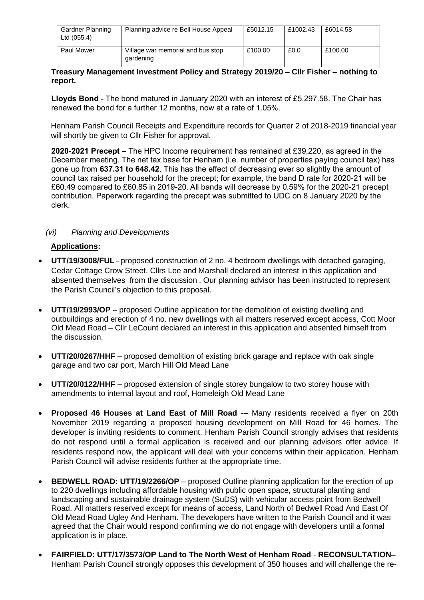| Gardner Planning<br>Ltd (055.4) | Planning advice re Bell House Appeal           | £5012.15 | £1002.43 | £6014.58 |
|---------------------------------|------------------------------------------------|----------|----------|----------|
| <b>Paul Mower</b>               | Village war memorial and bus stop<br>gardening | £100.00  | £0.0     | £100.00  |

#### **Treasury Management Investment Policy and Strategy 2019/20 – Cllr Fisher – nothing to report.**

**Lloyds Bond** - The bond matured in January 2020 with an interest of £5,297.58. The Chair has renewed the bond for a further 12 months, now at a rate of 1.05%.

Henham Parish Council Receipts and Expenditure records for Quarter 2 of 2018-2019 financial year will shortly be given to Cllr Fisher for approval.

**2020-2021 Precept –** The HPC Income requirement has remained at £39,220, as agreed in the December meeting. The net tax base for Henham (i.e. number of properties paying council tax) has gone up from **637.31 to 648.42**. This has the effect of decreasing ever so slightly the amount of council tax raised per household for the precept; for example, the band D rate for 2020-21 will be £60.49 compared to £60.85 in 2019-20. All bands will decrease by 0.59% for the 2020-21 precept contribution. Paperwork regarding the precept was submitted to UDC on 8 January 2020 by the clerk.

#### *(vi) Planning and Developments*

#### **Applications:**

- **UTT/19/3008/FUL** proposed construction of 2 no. 4 bedroom dwellings with detached garaging, Cedar Cottage Crow Street. Cllrs Lee and Marshall declared an interest in this application and absented themselves from the discussion . Our planning advisor has been instructed to represent the Parish Council's objection to this proposal.
- **UTT/19/2993/OP** proposed Outline application for the demolition of existing dwelling and outbuildings and erection of 4 no. new dwellings with all matters reserved except access, Cott Moor Old Mead Road – Cllr LeCount declared an interest in this application and absented himself from the discussion.
- **UTT/20/0267/HHF** proposed demolition of existing brick garage and replace with oak single garage and two car port, March Hill Old Mead Lane
- **UTT/20/0122/HHF** proposed extension of single storey bungalow to two storey house with amendments to internal layout and roof, Homeleigh Old Mead Lane
- **Proposed 46 Houses at Land East of Mill Road -–** Many residents received a flyer on 20th November 2019 regarding a proposed housing development on Mill Road for 46 homes. The developer is inviting residents to comment. Henham Parish Council strongly advises that residents do not respond until a formal application is received and our planning advisors offer advice. If residents respond now, the applicant will deal with your concerns within their application. Henham Parish Council will advise residents further at the appropriate time.
- **BEDWELL ROAD: UTT/19/2266/OP** proposed Outline planning application for the erection of up to 220 dwellings including affordable housing with public open space, structural planting and landscaping and sustainable drainage system (SuDS) with vehicular access point from Bedwell Road. All matters reserved except for means of access, Land North of Bedwell Road And East Of Old Mead Road Ugley And Henham. The developers have written to the Parish Council and it was agreed that the Chair would respond confirming we do not engage with developers until a formal application is in place.
- **FAIRFIELD: UTT/17/3573/OP Land to The North West of Henham Road RECONSULTATION–** Henham Parish Council strongly opposes this development of 350 houses and will challenge the re-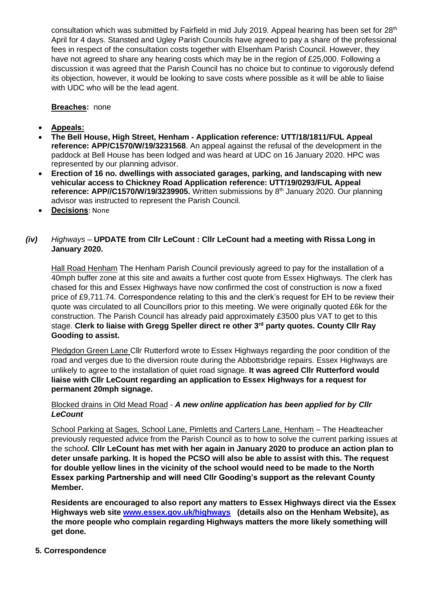consultation which was submitted by Fairfield in mid July 2019. Appeal hearing has been set for 28th April for 4 days. Stansted and Ugley Parish Councils have agreed to pay a share of the professional fees in respect of the consultation costs together with Elsenham Parish Council. However, they have not agreed to share any hearing costs which may be in the region of £25,000. Following a discussion it was agreed that the Parish Council has no choice but to continue to vigorously defend its objection, however, it would be looking to save costs where possible as it will be able to liaise with UDC who will be the lead agent.

#### **Breaches:** none

- **Appeals:**
- **The Bell House, High Street, Henham - Application reference: UTT/18/1811/FUL Appeal reference: APP/C1570/W/19/3231568**. An appeal against the refusal of the development in the paddock at Bell House has been lodged and was heard at UDC on 16 January 2020. HPC was represented by our planning advisor.
- **Erection of 16 no. dwellings with associated garages, parking, and landscaping with new vehicular access to Chickney Road Application reference: UTT/19/0293/FUL Appeal reference: APP//C1570/W/19/3239905.** Written submissions by 8th January 2020. Our planning advisor was instructed to represent the Parish Council.
- **Decisions**: None

### *(iv) Highways –* **UPDATE from Cllr LeCount : Cllr LeCount had a meeting with Rissa Long in January 2020.**

Hall Road Henham The Henham Parish Council previously agreed to pay for the installation of a 40mph buffer zone at this site and awaits a further cost quote from Essex Highways. The clerk has chased for this and Essex Highways have now confirmed the cost of construction is now a fixed price of £9,711.74. Correspondence relating to this and the clerk's request for EH to be review their quote was circulated to all Councillors prior to this meeting. We were originally quoted £6k for the construction. The Parish Council has already paid approximately £3500 plus VAT to get to this stage. **Clerk to liaise with Gregg Speller direct re other 3rd party quotes. County Cllr Ray Gooding to assist.** 

Pledgdon Green Lane Cllr Rutterford wrote to Essex Highways regarding the poor condition of the road and verges due to the diversion route during the Abbottsbridge repairs. Essex Highways are unlikely to agree to the installation of quiet road signage. **It was agreed Cllr Rutterford would liaise with Cllr LeCount regarding an application to Essex Highways for a request for permanent 20mph signage.**

#### Blocked drains in Old Mead Road - *A new online application has been applied for by Cllr LeCount*

School Parking at Sages, School Lane, Pimletts and Carters Lane, Henham – The Headteacher previously requested advice from the Parish Council as to how to solve the current parking issues at the schoo*l.* **Cllr LeCount has met with her again in January 2020 to produce an action plan to deter unsafe parking. It is hoped the PCSO will also be able to assist with this. The request for double yellow lines in the vicinity of the school would need to be made to the North Essex parking Partnership and will need Cllr Gooding's support as the relevant County Member.** 

**Residents are encouraged to also report any matters to Essex Highways direct via the Essex Highways web site [www.essex.gov.uk/highways](http://www.essex.gov.uk/highways) (details also on the Henham Website), as the more people who complain regarding Highways matters the more likely something will get done.**

#### **5. Correspondence**